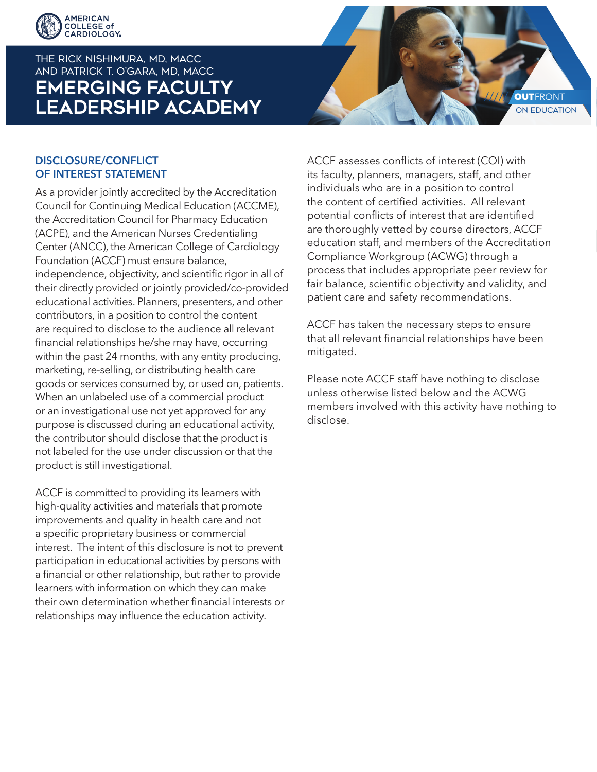

# THE RICK NISHIMURA, MD, MACC and PATRICK T. O'GARA, MD, MACC **EMERGING FACULTY LEADERSHIP ACADEMY**



### DISCLOSURE/CONFLICT OF INTEREST STATEMENT

As a provider jointly accredited by the Accreditation Council for Continuing Medical Education (ACCME), the Accreditation Council for Pharmacy Education (ACPE), and the American Nurses Credentialing Center (ANCC), the American College of Cardiology Foundation (ACCF) must ensure balance, independence, objectivity, and scientific rigor in all of their directly provided or jointly provided/co-provided educational activities. Planners, presenters, and other contributors, in a position to control the content are required to disclose to the audience all relevant financial relationships he/she may have, occurring within the past 24 months, with any entity producing, marketing, re-selling, or distributing health care goods or services consumed by, or used on, patients. When an unlabeled use of a commercial product or an investigational use not yet approved for any purpose is discussed during an educational activity, the contributor should disclose that the product is not labeled for the use under discussion or that the product is still investigational.

ACCF is committed to providing its learners with high-quality activities and materials that promote improvements and quality in health care and not a specific proprietary business or commercial interest. The intent of this disclosure is not to prevent participation in educational activities by persons with a financial or other relationship, but rather to provide learners with information on which they can make their own determination whether financial interests or relationships may influence the education activity.

ACCF assesses conflicts of interest (COI) with its faculty, planners, managers, staff, and other individuals who are in a position to control the content of certified activities. All relevant potential conflicts of interest that are identified are thoroughly vetted by course directors, ACCF education staff, and members of the Accreditation Compliance Workgroup (ACWG) through a process that includes appropriate peer review for fair balance, scientific objectivity and validity, and patient care and safety recommendations.

ACCF has taken the necessary steps to ensure that all relevant financial relationships have been mitigated.

Please note ACCF staff have nothing to disclose unless otherwise listed below and the ACWG members involved with this activity have nothing to disclose.